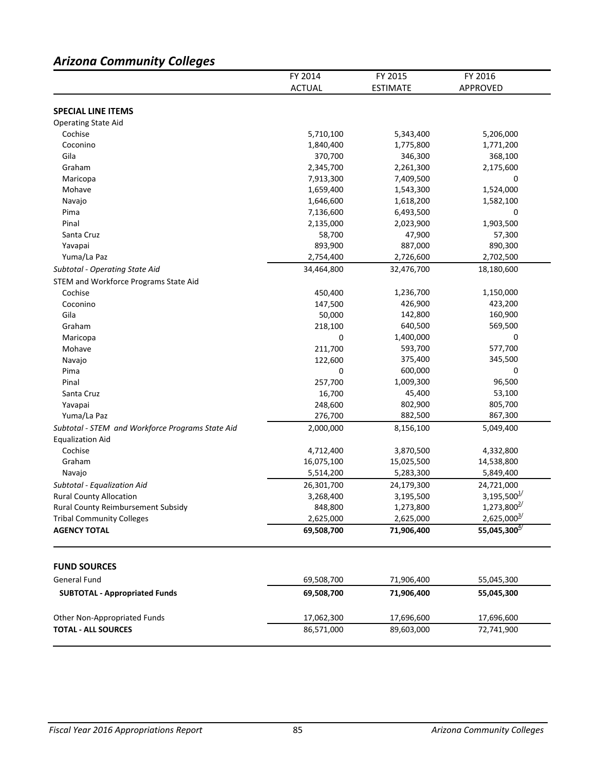# *Arizona Community Colleges*

|                                                  | FY 2014<br><b>ACTUAL</b> | FY 2015<br><b>ESTIMATE</b> | FY 2016<br>APPROVED       |
|--------------------------------------------------|--------------------------|----------------------------|---------------------------|
|                                                  |                          |                            |                           |
| <b>SPECIAL LINE ITEMS</b>                        |                          |                            |                           |
| <b>Operating State Aid</b>                       |                          |                            |                           |
| Cochise                                          | 5,710,100                | 5,343,400                  | 5,206,000                 |
| Coconino                                         | 1,840,400                | 1,775,800                  | 1,771,200                 |
| Gila                                             | 370,700                  | 346,300                    | 368,100                   |
| Graham                                           | 2,345,700                | 2,261,300                  | 2,175,600                 |
| Maricopa                                         | 7,913,300                | 7,409,500                  | 0                         |
| Mohave                                           | 1,659,400                | 1,543,300                  | 1,524,000                 |
| Navajo                                           | 1,646,600                | 1,618,200                  | 1,582,100                 |
| Pima                                             | 7,136,600                | 6,493,500                  | 0                         |
| Pinal                                            | 2,135,000                | 2,023,900                  | 1,903,500                 |
| Santa Cruz                                       | 58,700                   | 47,900                     | 57,300                    |
| Yavapai                                          | 893,900                  | 887,000                    | 890,300                   |
| Yuma/La Paz                                      | 2,754,400                | 2,726,600                  | 2,702,500                 |
| Subtotal - Operating State Aid                   | 34,464,800               | 32,476,700                 | 18,180,600                |
| STEM and Workforce Programs State Aid            |                          |                            |                           |
| Cochise                                          | 450,400                  | 1,236,700                  | 1,150,000                 |
| Coconino                                         | 147,500                  | 426,900                    | 423,200                   |
| Gila                                             | 50,000                   | 142,800                    | 160,900                   |
| Graham                                           | 218,100                  | 640,500                    | 569,500                   |
| Maricopa                                         | 0                        | 1,400,000                  | 0                         |
| Mohave                                           | 211,700                  | 593,700                    | 577,700                   |
| Navajo                                           | 122,600                  | 375,400                    | 345,500                   |
| Pima                                             | 0                        | 600,000                    | 0                         |
| Pinal                                            | 257,700                  | 1,009,300                  | 96,500                    |
| Santa Cruz                                       | 16,700                   | 45,400                     | 53,100                    |
| Yavapai                                          | 248,600                  | 802,900                    | 805,700                   |
| Yuma/La Paz                                      | 276,700                  | 882,500                    | 867,300                   |
|                                                  |                          |                            |                           |
| Subtotal - STEM and Workforce Programs State Aid | 2,000,000                | 8,156,100                  | 5,049,400                 |
| <b>Equalization Aid</b>                          |                          |                            |                           |
| Cochise                                          | 4,712,400                | 3,870,500                  | 4,332,800                 |
| Graham                                           | 16,075,100               | 15,025,500                 | 14,538,800                |
| Navajo                                           | 5,514,200                | 5,283,300                  | 5,849,400                 |
| Subtotal - Equalization Aid                      | 26,301,700               | 24,179,300                 | 24,721,000                |
| <b>Rural County Allocation</b>                   | 3,268,400                | 3,195,500                  | $3,195,500^{\frac{1}{2}}$ |
| Rural County Reimbursement Subsidy               | 848,800                  | 1,273,800                  | $1,273,800^{2/3}$         |
| <b>Tribal Community Colleges</b>                 | 2,625,000                | 2,625,000                  | $2,625,000^{3/2}$         |
| <b>AGENCY TOTAL</b>                              | 69,508,700               | 71,906,400                 | 55,045,300 $4/$           |
| <b>FUND SOURCES</b>                              |                          |                            |                           |
| General Fund                                     |                          | 71,906,400                 |                           |
| <b>SUBTOTAL - Appropriated Funds</b>             | 69,508,700<br>69,508,700 | 71,906,400                 | 55,045,300<br>55,045,300  |
|                                                  |                          |                            |                           |
| Other Non-Appropriated Funds                     | 17,062,300               | 17,696,600                 | 17,696,600                |
| <b>TOTAL - ALL SOURCES</b>                       | 86,571,000               | 89,603,000                 | 72,741,900                |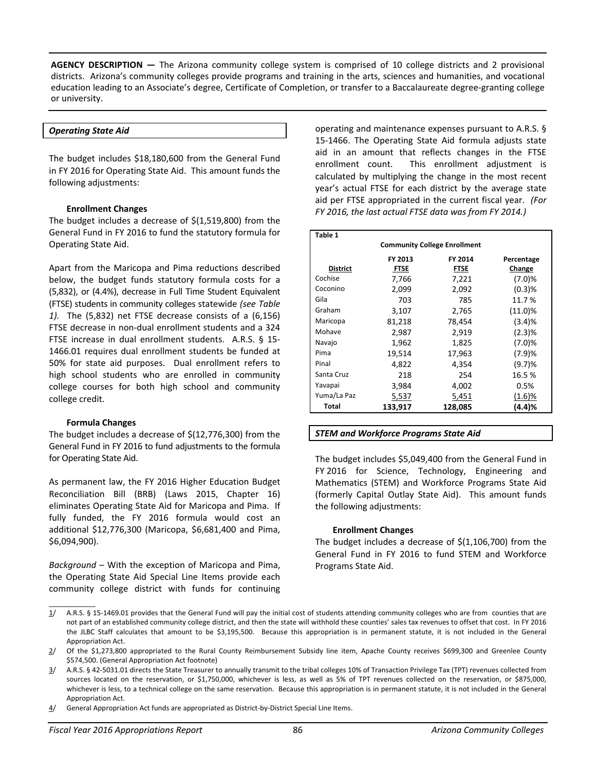**AGENCY DESCRIPTION —** The Arizona community college system is comprised of 10 college districts and 2 provisional districts. Arizona's community colleges provide programs and training in the arts, sciences and humanities, and vocational education leading to an Associate's degree, Certificate of Completion, or transfer to a Baccalaureate degree-granting college or university.

### *Operating State Aid*

The budget includes \$18,180,600 from the General Fund in FY 2016 for Operating State Aid. This amount funds the following adjustments:

### **Enrollment Changes**

The budget includes a decrease of \$(1,519,800) from the General Fund in FY 2016 to fund the statutory formula for Operating State Aid.

Apart from the Maricopa and Pima reductions described below, the budget funds statutory formula costs for a (5,832), or (4.4%), decrease in Full Time Student Equivalent (FTSE) students in community colleges statewide *(see Table 1).* The (5,832) net FTSE decrease consists of a (6,156) FTSE decrease in non-dual enrollment students and a 324 FTSE increase in dual enrollment students. A.R.S. § 15- 1466.01 requires dual enrollment students be funded at 50% for state aid purposes. Dual enrollment refers to high school students who are enrolled in community college courses for both high school and community college credit.

# **Formula Changes**

 $\overline{\phantom{a}}$  . The set of the set of the set of the set of the set of the set of the set of the set of the set of the set of the set of the set of the set of the set of the set of the set of the set of the set of the set o

The budget includes a decrease of \$(12,776,300) from the General Fund in FY 2016 to fund adjustments to the formula for Operating State Aid.

As permanent law, the FY 2016 Higher Education Budget Reconciliation Bill (BRB) (Laws 2015, Chapter 16) eliminates Operating State Aid for Maricopa and Pima. If fully funded, the FY 2016 formula would cost an additional \$12,776,300 (Maricopa, \$6,681,400 and Pima, \$6,094,900).

*Background* – With the exception of Maricopa and Pima, the Operating State Aid Special Line Items provide each community college district with funds for continuing

operating and maintenance expenses pursuant to A.R.S. § 15-1466. The Operating State Aid formula adjusts state aid in an amount that reflects changes in the FTSE enrollment count. This enrollment adjustment is calculated by multiplying the change in the most recent year's actual FTSE for each district by the average state aid per FTSE appropriated in the current fiscal year. *(For FY 2016, the last actual FTSE data was from FY 2014.)* 

| Table 1                             |                                  |              |            |  |  |  |  |
|-------------------------------------|----------------------------------|--------------|------------|--|--|--|--|
| <b>Community College Enrollment</b> |                                  |              |            |  |  |  |  |
|                                     | FY 2013<br>FY 2014<br>Percentage |              |            |  |  |  |  |
| District                            | <b>FTSE</b>                      | <b>FTSE</b>  | Change     |  |  |  |  |
| Cochise                             | 7,766                            | 7,221        | (7.0)%     |  |  |  |  |
| Coconino                            | 2,099                            | 2,092        | (0.3)%     |  |  |  |  |
| Gila                                | 703                              | 785          | 11.7%      |  |  |  |  |
| Graham                              | 3,107                            | 2,765        | $(11.0)\%$ |  |  |  |  |
| Maricopa                            | 81,218                           | 78,454       | (3.4)%     |  |  |  |  |
| Mohave                              | 2,987                            | 2,919        | (2.3)%     |  |  |  |  |
| Navajo                              | 1,962                            | 1,825        | (7.0)%     |  |  |  |  |
| Pima                                | 19,514                           | 17,963       | (7.9)%     |  |  |  |  |
| Pinal                               | 4,822                            | 4,354        | (9.7)%     |  |  |  |  |
| Santa Cruz                          | 218                              | 254          | 16.5%      |  |  |  |  |
| Yavapai                             | 3,984                            | 4,002        | 0.5%       |  |  |  |  |
| Yuma/La Paz                         | 5,537                            | <u>5,451</u> | $(1.6)$ %  |  |  |  |  |
| Total                               | 133,917                          | 128,085      | (4.4)%     |  |  |  |  |

# *STEM and Workforce Programs State Aid*

The budget includes \$5,049,400 from the General Fund in FY 2016 for Science, Technology, Engineering and Mathematics (STEM) and Workforce Programs State Aid (formerly Capital Outlay State Aid). This amount funds the following adjustments:

### **Enrollment Changes**

The budget includes a decrease of  $\frac{1}{2}(1,106,700)$  from the General Fund in FY 2016 to fund STEM and Workforce Programs State Aid.

4/ General Appropriation Act funds are appropriated as District-by-District Special Line Items.

 $1/$  A.R.S. § 15-1469.01 provides that the General Fund will pay the initial cost of students attending community colleges who are from counties that are not part of an established community college district, and then the state will withhold these counties' sales tax revenues to offset that cost. In FY 2016 the JLBC Staff calculates that amount to be \$3,195,500. Because this appropriation is in permanent statute, it is not included in the General Appropriation Act.

<sup>2/</sup> Of the \$1,273,800 appropriated to the Rural County Reimbursement Subsidy line item, Apache County receives \$699,300 and Greenlee County \$574,500. (General Appropriation Act footnote)

<sup>3/</sup> A.R.S. § 42-5031.01 directs the State Treasurer to annually transmit to the tribal colleges 10% of Transaction Privilege Tax (TPT) revenues collected from sources located on the reservation, or \$1,750,000, whichever is less, as well as 5% of TPT revenues collected on the reservation, or \$875,000, whichever is less, to a technical college on the same reservation. Because this appropriation is in permanent statute, it is not included in the General Appropriation Act.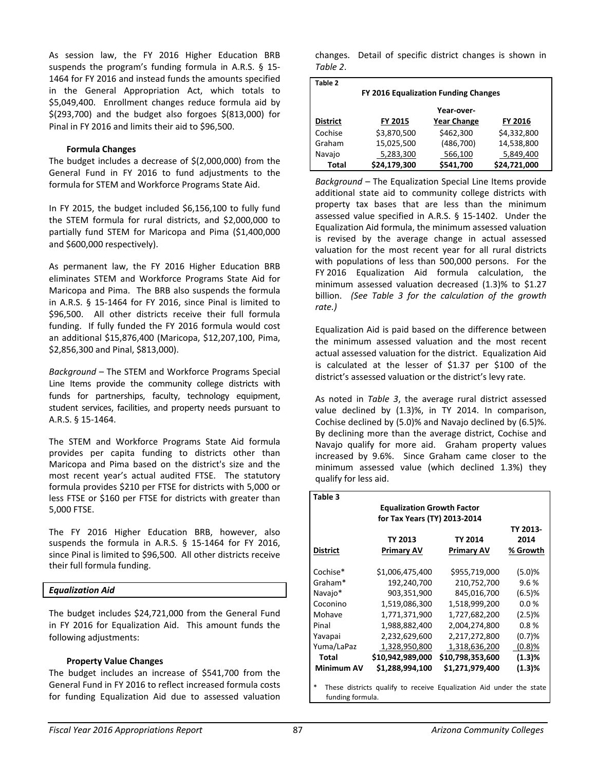As session law, the FY 2016 Higher Education BRB suspends the program's funding formula in A.R.S. § 15- 1464 for FY 2016 and instead funds the amounts specified in the General Appropriation Act, which totals to \$5,049,400. Enrollment changes reduce formula aid by \$(293,700) and the budget also forgoes \$(813,000) for Pinal in FY 2016 and limits their aid to \$96,500.

# **Formula Changes**

The budget includes a decrease of \$(2,000,000) from the General Fund in FY 2016 to fund adjustments to the formula for STEM and Workforce Programs State Aid.

In FY 2015, the budget included \$6,156,100 to fully fund the STEM formula for rural districts, and \$2,000,000 to partially fund STEM for Maricopa and Pima (\$1,400,000 and \$600,000 respectively).

As permanent law, the FY 2016 Higher Education BRB eliminates STEM and Workforce Programs State Aid for Maricopa and Pima. The BRB also suspends the formula in A.R.S. § 15-1464 for FY 2016, since Pinal is limited to \$96,500. All other districts receive their full formula funding. If fully funded the FY 2016 formula would cost an additional \$15,876,400 (Maricopa, \$12,207,100, Pima, \$2,856,300 and Pinal, \$813,000).

*Background* – The STEM and Workforce Programs Special Line Items provide the community college districts with funds for partnerships, faculty, technology equipment, student services, facilities, and property needs pursuant to A.R.S. § 15-1464.

The STEM and Workforce Programs State Aid formula provides per capita funding to districts other than Maricopa and Pima based on the district's size and the most recent year's actual audited FTSE. The statutory formula provides \$210 per FTSE for districts with 5,000 or less FTSE or \$160 per FTSE for districts with greater than 5,000 FTSE.

The FY 2016 Higher Education BRB, however, also suspends the formula in A.R.S. § 15-1464 for FY 2016, since Pinal is limited to \$96,500. All other districts receive their full formula funding.

# *Equalization Aid*

The budget includes \$24,721,000 from the General Fund in FY 2016 for Equalization Aid. This amount funds the following adjustments:

### **Property Value Changes**

The budget includes an increase of \$541,700 from the General Fund in FY 2016 to reflect increased formula costs for funding Equalization Aid due to assessed valuation changes. Detail of specific district changes is shown in *Table 2*.

| Table 2                              |              |                    |                |  |
|--------------------------------------|--------------|--------------------|----------------|--|
| FY 2016 Equalization Funding Changes |              |                    |                |  |
|                                      |              | Year-over-         |                |  |
| <b>District</b>                      | FY 2015      | <b>Year Change</b> | <b>FY 2016</b> |  |
| Cochise                              | \$3,870,500  | \$462,300          | \$4,332,800    |  |
| Graham                               | 15,025,500   | (486,700)          | 14,538,800     |  |
| Navajo                               | 5,283,300    | 566,100            | 5,849,400      |  |
| <b>Total</b>                         | \$24,179,300 | \$541,700          | \$24,721,000   |  |

*Background* – The Equalization Special Line Items provide additional state aid to community college districts with property tax bases that are less than the minimum assessed value specified in A.R.S. § 15-1402. Under the Equalization Aid formula, the minimum assessed valuation is revised by the average change in actual assessed valuation for the most recent year for all rural districts with populations of less than 500,000 persons. For the FY 2016 Equalization Aid formula calculation, the minimum assessed valuation decreased (1.3)% to \$1.27 billion. *(See Table 3 for the calculation of the growth rate.)* 

Equalization Aid is paid based on the difference between the minimum assessed valuation and the most recent actual assessed valuation for the district. Equalization Aid is calculated at the lesser of \$1.37 per \$100 of the district's assessed valuation or the district's levy rate.

As noted in *Table 3*, the average rural district assessed value declined by (1.3)%, in TY 2014. In comparison, Cochise declined by (5.0)% and Navajo declined by (6.5)%. By declining more than the average district, Cochise and Navajo qualify for more aid. Graham property values increased by 9.6%. Since Graham came closer to the minimum assessed value (which declined 1.3%) they qualify for less aid.

| Table 3                                                                                           | <b>Equalization Growth Factor</b> |                   |           |  |  |
|---------------------------------------------------------------------------------------------------|-----------------------------------|-------------------|-----------|--|--|
| for Tax Years (TY) 2013-2014                                                                      |                                   |                   |           |  |  |
|                                                                                                   |                                   |                   | TY 2013-  |  |  |
|                                                                                                   | TY 2013                           | TY 2014           | 2014      |  |  |
| <b>District</b>                                                                                   | <b>Primary AV</b>                 | <b>Primary AV</b> | % Growth  |  |  |
| Cochise*                                                                                          | \$1,006,475,400                   | \$955,719,000     | (5.0)%    |  |  |
| Graham*                                                                                           | 192,240,700                       | 210,752,700       | 9.6%      |  |  |
| Navajo*                                                                                           | 903,351,900                       | 845,016,700       | (6.5)%    |  |  |
| Coconino                                                                                          | 1,519,086,300                     | 1,518,999,200     | 0.0%      |  |  |
| Mohave                                                                                            | 1,771,371,900                     | 1,727,682,200     | (2.5)%    |  |  |
| Pinal                                                                                             | 1,988,882,400                     | 2,004,274,800     | 0.8%      |  |  |
| Yavapai                                                                                           | 2,232,629,600                     | 2,217,272,800     | (0.7)%    |  |  |
| Yuma/LaPaz                                                                                        | 1,328,950,800                     | 1,318,636,200     | $(0.8)$ % |  |  |
| Total                                                                                             | \$10,942,989,000                  | \$10,798,353,600  | (1.3)%    |  |  |
| <b>Minimum AV</b>                                                                                 | \$1,288,994,100                   | \$1,271,979,400   | (1.3)%    |  |  |
| $\ast$<br>These districts qualify to receive Equalization Aid under the state<br>funding formula. |                                   |                   |           |  |  |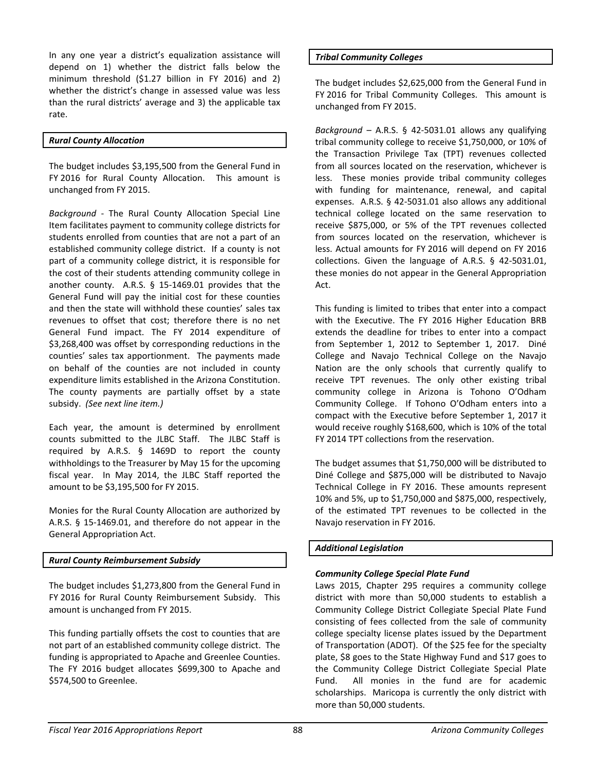In any one year a district's equalization assistance will depend on 1) whether the district falls below the minimum threshold (\$1.27 billion in FY 2016) and 2) whether the district's change in assessed value was less than the rural districts' average and 3) the applicable tax rate.

# *Rural County Allocation*

The budget includes \$3,195,500 from the General Fund in FY 2016 for Rural County Allocation. This amount is unchanged from FY 2015.

*Background -* The Rural County Allocation Special Line Item facilitates payment to community college districts for students enrolled from counties that are not a part of an established community college district. If a county is not part of a community college district, it is responsible for the cost of their students attending community college in another county. A.R.S. § 15-1469.01 provides that the General Fund will pay the initial cost for these counties and then the state will withhold these counties' sales tax revenues to offset that cost; therefore there is no net General Fund impact. The FY 2014 expenditure of \$3,268,400 was offset by corresponding reductions in the counties' sales tax apportionment. The payments made on behalf of the counties are not included in county expenditure limits established in the Arizona Constitution. The county payments are partially offset by a state subsidy. *(See next line item.)*

Each year, the amount is determined by enrollment counts submitted to the JLBC Staff. The JLBC Staff is required by A.R.S. § 1469D to report the county withholdings to the Treasurer by May 15 for the upcoming fiscal year. In May 2014, the JLBC Staff reported the amount to be \$3,195,500 for FY 2015.

Monies for the Rural County Allocation are authorized by A.R.S. § 15-1469.01, and therefore do not appear in the General Appropriation Act.

# *Rural County Reimbursement Subsidy*

The budget includes \$1,273,800 from the General Fund in FY 2016 for Rural County Reimbursement Subsidy. This amount is unchanged from FY 2015.

This funding partially offsets the cost to counties that are not part of an established community college district. The funding is appropriated to Apache and Greenlee Counties. The FY 2016 budget allocates \$699,300 to Apache and \$574,500 to Greenlee.

# *Tribal Community Colleges*

The budget includes \$2,625,000 from the General Fund in FY 2016 for Tribal Community Colleges. This amount is unchanged from FY 2015.

*Background* – A.R.S. § 42-5031.01 allows any qualifying tribal community college to receive \$1,750,000, or 10% of the Transaction Privilege Tax (TPT) revenues collected from all sources located on the reservation, whichever is less. These monies provide tribal community colleges with funding for maintenance, renewal, and capital expenses. A.R.S. § 42-5031.01 also allows any additional technical college located on the same reservation to receive \$875,000, or 5% of the TPT revenues collected from sources located on the reservation, whichever is less. Actual amounts for FY 2016 will depend on FY 2016 collections. Given the language of A.R.S. § 42-5031.01, these monies do not appear in the General Appropriation Act.

This funding is limited to tribes that enter into a compact with the Executive. The FY 2016 Higher Education BRB extends the deadline for tribes to enter into a compact from September 1, 2012 to September 1, 2017. Diné College and Navajo Technical College on the Navajo Nation are the only schools that currently qualify to receive TPT revenues. The only other existing tribal community college in Arizona is Tohono O'Odham Community College. If Tohono O'Odham enters into a compact with the Executive before September 1, 2017 it would receive roughly \$168,600, which is 10% of the total FY 2014 TPT collections from the reservation.

The budget assumes that \$1,750,000 will be distributed to Diné College and \$875,000 will be distributed to Navajo Technical College in FY 2016. These amounts represent 10% and 5%, up to \$1,750,000 and \$875,000, respectively, of the estimated TPT revenues to be collected in the Navajo reservation in FY 2016.

# *Additional Legislation*

# *Community College Special Plate Fund*

Laws 2015, Chapter 295 requires a community college district with more than 50,000 students to establish a Community College District Collegiate Special Plate Fund consisting of fees collected from the sale of community college specialty license plates issued by the Department of Transportation (ADOT). Of the \$25 fee for the specialty plate, \$8 goes to the State Highway Fund and \$17 goes to the Community College District Collegiate Special Plate Fund. All monies in the fund are for academic scholarships. Maricopa is currently the only district with more than 50,000 students.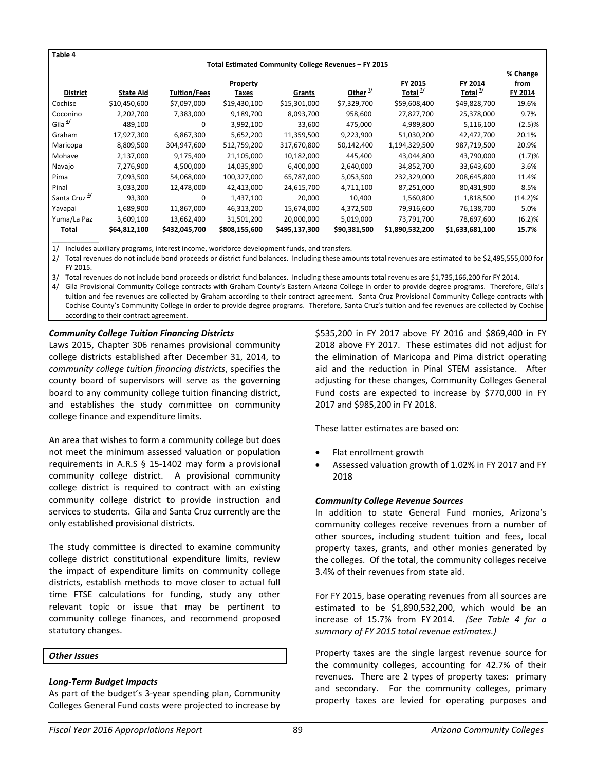**Table 4**

\_\_\_\_\_\_\_\_\_\_\_\_

#### **Total Estimated Community College Revenues – FY 2015**

|                          |                  |                     |               |               |              |                     |                     | % Change   |
|--------------------------|------------------|---------------------|---------------|---------------|--------------|---------------------|---------------------|------------|
|                          |                  |                     | Property      |               |              | FY 2015             | FY 2014             | from       |
| <b>District</b>          | <b>State Aid</b> | <b>Tuition/Fees</b> | Taxes         | Grants        | Other $1$    | Total $\frac{2}{3}$ | Total <sup>3/</sup> | FY 2014    |
| Cochise                  | \$10,450,600     | \$7,097,000         | \$19,430,100  | \$15,301,000  | \$7,329,700  | \$59,608,400        | \$49,828,700        | 19.6%      |
| Coconino                 | 2,202,700        | 7,383,000           | 9,189,700     | 8,093,700     | 958,600      | 27,827,700          | 25,378,000          | 9.7%       |
| Gila <sup>4/</sup>       | 489,100          | $\Omega$            | 3,992,100     | 33,600        | 475,000      | 4,989,800           | 5,116,100           | (2.5)%     |
| Graham                   | 17,927,300       | 6,867,300           | 5,652,200     | 11,359,500    | 9,223,900    | 51,030,200          | 42,472,700          | 20.1%      |
| Maricopa                 | 8,809,500        | 304,947,600         | 512,759,200   | 317,670,800   | 50,142,400   | 1,194,329,500       | 987,719,500         | 20.9%      |
| Mohave                   | 2,137,000        | 9,175,400           | 21,105,000    | 10,182,000    | 445,400      | 43,044,800          | 43,790,000          | (1.7)%     |
| Navajo                   | 7,276,900        | 4,500,000           | 14,035,800    | 6,400,000     | 2,640,000    | 34,852,700          | 33,643,600          | 3.6%       |
| Pima                     | 7,093,500        | 54,068,000          | 100,327,000   | 65,787,000    | 5,053,500    | 232,329,000         | 208,645,800         | 11.4%      |
| Pinal                    | 3,033,200        | 12,478,000          | 42,413,000    | 24,615,700    | 4,711,100    | 87,251,000          | 80,431,900          | 8.5%       |
| Santa Cruz <sup>4/</sup> | 93,300           | $\Omega$            | 1,437,100     | 20,000        | 10,400       | 1,560,800           | 1,818,500           | $(14.2)\%$ |
| Yavapai                  | 1,689,900        | 11,867,000          | 46,313,200    | 15,674,000    | 4,372,500    | 79,916,600          | 76,138,700          | 5.0%       |
| Yuma/La Paz              | 3,609,100        | 13,662,400          | 31,501,200    | 20,000,000    | 5,019,000    | 73,791,700          | 78,697,600          | (6.2)%     |
| Total                    | \$64,812,100     | \$432,045,700       | \$808,155,600 | \$495,137,300 | \$90,381,500 | \$1,890,532,200     | \$1,633,681,100     | 15.7%      |

1/ Includes auxiliary programs, interest income, workforce development funds, and transfers.

2/ Total revenues do not include bond proceeds or district fund balances. Including these amounts total revenues are estimated to be \$2,495,555,000 for FY 2015.

3/ Total revenues do not include bond proceeds or district fund balances. Including these amounts total revenues are \$1,735,166,200 for FY 2014.

4/ Gila Provisional Community College contracts with Graham County's Eastern Arizona College in order to provide degree programs. Therefore, Gila's tuition and fee revenues are collected by Graham according to their contract agreement. Santa Cruz Provisional Community College contracts with Cochise County's Community College in order to provide degree programs. Therefore, Santa Cruz's tuition and fee revenues are collected by Cochise according to their contract agreement.

### *Community College Tuition Financing Districts*

Laws 2015, Chapter 306 renames provisional community college districts established after December 31, 2014, to *community college tuition financing districts*, specifies the county board of supervisors will serve as the governing board to any community college tuition financing district, and establishes the study committee on community college finance and expenditure limits.

An area that wishes to form a community college but does not meet the minimum assessed valuation or population requirements in A.R.S § 15-1402 may form a provisional community college district. A provisional community college district is required to contract with an existing community college district to provide instruction and services to students. Gila and Santa Cruz currently are the only established provisional districts.

The study committee is directed to examine community college district constitutional expenditure limits, review the impact of expenditure limits on community college districts, establish methods to move closer to actual full time FTSE calculations for funding, study any other relevant topic or issue that may be pertinent to community college finances, and recommend proposed statutory changes.

# *Other Issues*

# *Long-Term Budget Impacts*

As part of the budget's 3-year spending plan, Community Colleges General Fund costs were projected to increase by \$535,200 in FY 2017 above FY 2016 and \$869,400 in FY 2018 above FY 2017. These estimates did not adjust for the elimination of Maricopa and Pima district operating aid and the reduction in Pinal STEM assistance. After adjusting for these changes, Community Colleges General Fund costs are expected to increase by \$770,000 in FY 2017 and \$985,200 in FY 2018.

These latter estimates are based on:

- Flat enrollment growth
- Assessed valuation growth of 1.02% in FY 2017 and FY 2018

### *Community College Revenue Sources*

In addition to state General Fund monies, Arizona's community colleges receive revenues from a number of other sources, including student tuition and fees, local property taxes, grants, and other monies generated by the colleges. Of the total, the community colleges receive 3.4% of their revenues from state aid.

For FY 2015, base operating revenues from all sources are estimated to be \$1,890,532,200, which would be an increase of 15.7% from FY 2014. *(See Table 4 for a summary of FY 2015 total revenue estimates.)* 

Property taxes are the single largest revenue source for the community colleges, accounting for 42.7% of their revenues. There are 2 types of property taxes: primary and secondary. For the community colleges, primary property taxes are levied for operating purposes and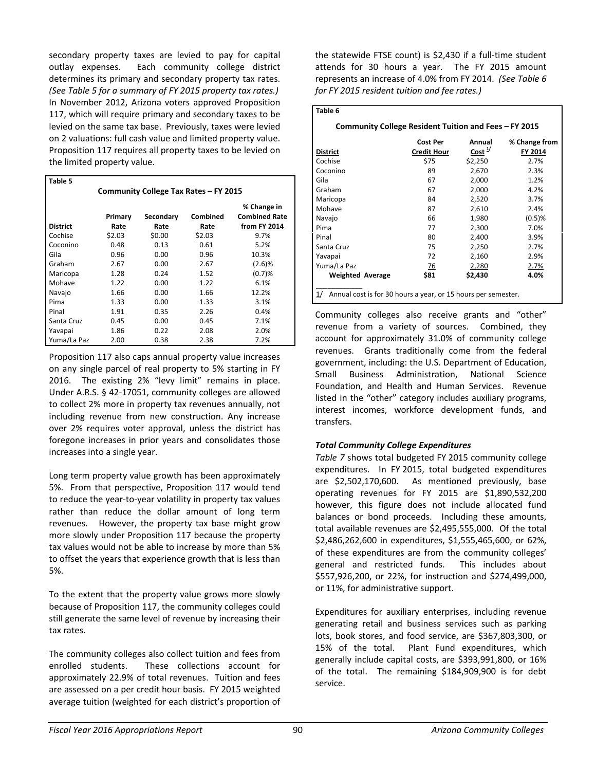secondary property taxes are levied to pay for capital outlay expenses. Each community college district determines its primary and secondary property tax rates. *(See Table 5 for a summary of FY 2015 property tax rates.)*  In November 2012, Arizona voters approved Proposition 117, which will require primary and secondary taxes to be levied on the same tax base. Previously, taxes were levied on 2 valuations: full cash value and limited property value. Proposition 117 requires all property taxes to be levied on the limited property value.

| Table 5                               |         |           |          |                      |  |
|---------------------------------------|---------|-----------|----------|----------------------|--|
| Community College Tax Rates - FY 2015 |         |           |          |                      |  |
|                                       |         |           |          | % Change in          |  |
|                                       | Primary | Secondary | Combined | <b>Combined Rate</b> |  |
| <b>District</b>                       | Rate    | Rate      | Rate     | from FY 2014         |  |
| Cochise                               | \$2.03  | \$0.00    | \$2.03   | 9.7%                 |  |
| Coconino                              | 0.48    | 0.13      | 0.61     | 5.2%                 |  |
| Gila                                  | 0.96    | 0.00      | 0.96     | 10.3%                |  |
| Graham                                | 2.67    | 0.00      | 2.67     | (2.6)%               |  |
| Maricopa                              | 1.28    | 0.24      | 1.52     | (0.7)%               |  |
| Mohave                                | 1.22    | 0.00      | 1.22     | 6.1%                 |  |
| Navajo                                | 1.66    | 0.00      | 1.66     | 12.2%                |  |
| Pima                                  | 1.33    | 0.00      | 1.33     | 3.1%                 |  |
| Pinal                                 | 1.91    | 0.35      | 2.26     | 0.4%                 |  |
| Santa Cruz                            | 0.45    | 0.00      | 0.45     | 7.1%                 |  |
| Yavapai                               | 1.86    | 0.22      | 2.08     | 2.0%                 |  |
| Yuma/La Paz                           | 2.00    | 0.38      | 2.38     | 7.2%                 |  |

Proposition 117 also caps annual property value increases on any single parcel of real property to 5% starting in FY 2016. The existing 2% "levy limit" remains in place. Under A.R.S. § 42-17051, community colleges are allowed to collect 2% more in property tax revenues annually, not including revenue from new construction. Any increase over 2% requires voter approval, unless the district has foregone increases in prior years and consolidates those increases into a single year.

Long term property value growth has been approximately 5%. From that perspective, Proposition 117 would tend to reduce the year-to-year volatility in property tax values rather than reduce the dollar amount of long term revenues. However, the property tax base might grow more slowly under Proposition 117 because the property tax values would not be able to increase by more than 5% to offset the years that experience growth that is less than 5%.

To the extent that the property value grows more slowly because of Proposition 117, the community colleges could still generate the same level of revenue by increasing their tax rates.

The community colleges also collect tuition and fees from enrolled students. These collections account for approximately 22.9% of total revenues. Tuition and fees are assessed on a per credit hour basis. FY 2015 weighted average tuition (weighted for each district's proportion of

the statewide FTSE count) is \$2,430 if a full-time student attends for 30 hours a year. The FY 2015 amount represents an increase of 4.0% from FY 2014. *(See Table 6 for FY 2015 resident tuition and fee rates.)* 

# **Table 6**

# **Community College Resident Tuition and Fees – FY 2015**

| District                | <b>Cost Per</b><br><b>Credit Hour</b> | Annual<br>Cost <sup>1/</sup> | % Change from<br>FY 2014 |
|-------------------------|---------------------------------------|------------------------------|--------------------------|
| Cochise                 | \$75                                  | \$2,250                      | 2.7%                     |
| Coconino                | 89                                    | 2,670                        | 2.3%                     |
| Gila                    | 67                                    | 2,000                        | 1.2%                     |
| Graham                  | 67                                    | 2,000                        | 4.2%                     |
| Maricopa                | 84                                    | 2,520                        | 3.7%                     |
| Mohave                  | 87                                    | 2,610                        | 2.4%                     |
| Navajo                  | 66                                    | 1,980                        | (0.5)%                   |
| Pima                    | 77                                    | 2,300                        | 7.0%                     |
| Pinal                   | 80                                    | 2,400                        | 3.9%                     |
| Santa Cruz              | 75                                    | 2,250                        | 2.7%                     |
| Yavapai                 | 72                                    | 2,160                        | 2.9%                     |
| Yuma/La Paz             | $\overline{26}$                       | 2,280                        | 2.7%                     |
| <b>Weighted Average</b> | \$81                                  | \$2,430                      | 4.0%                     |

Community colleges also receive grants and "other" revenue from a variety of sources. Combined, they account for approximately 31.0% of community college revenues. Grants traditionally come from the federal government, including: the U.S. Department of Education, Small Business Administration, National Science Foundation, and Health and Human Services. Revenue listed in the "other" category includes auxiliary programs, interest incomes, workforce development funds, and transfers.

# *Total Community College Expenditures*

*Table 7* shows total budgeted FY 2015 community college expenditures. In FY 2015, total budgeted expenditures are \$2,502,170,600. As mentioned previously, base operating revenues for FY 2015 are \$1,890,532,200 however, this figure does not include allocated fund balances or bond proceeds. Including these amounts, total available revenues are \$2,495,555,000. Of the total \$2,486,262,600 in expenditures, \$1,555,465,600, or 62%, of these expenditures are from the community colleges' general and restricted funds. This includes about \$557,926,200, or 22%, for instruction and \$274,499,000, or 11%, for administrative support.

Expenditures for auxiliary enterprises, including revenue generating retail and business services such as parking lots, book stores, and food service, are \$367,803,300, or 15% of the total. Plant Fund expenditures, which generally include capital costs, are \$393,991,800, or 16% of the total. The remaining \$184,909,900 is for debt service.